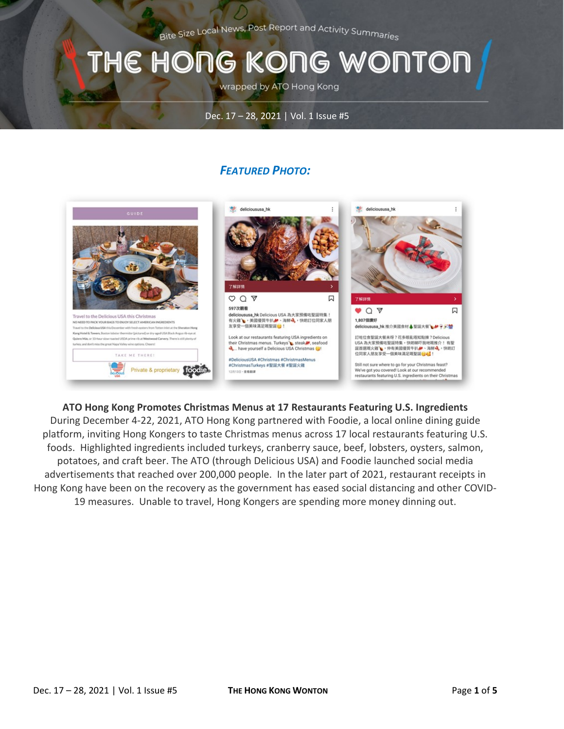Bite Size Local News, Post Report and Activity Summaries

# THE HONG KONG WONTOI

wrapped by ATO Hong Kong

#### Dec. 17 – 28, 2021 | Vol. 1 Issue #5

### *FEATURED PHOTO:*



**ATO Hong Kong Promotes Christmas Menus at 17 Restaurants Featuring U.S. Ingredients** During December 4-22, 2021, ATO Hong Kong partnered with Foodie, a local online dining guide platform, inviting Hong Kongers to taste Christmas menus across 17 local restaurants featuring U.S. foods. Highlighted ingredients included turkeys, cranberry sauce, beef, lobsters, oysters, salmon, potatoes, and craft beer. The ATO (through Delicious USA) and Foodie launched social media advertisements that reached over 200,000 people. In the later part of 2021, restaurant receipts in Hong Kong have been on the recovery as the government has eased social distancing and other COVID-19 measures. Unable to travel, Hong Kongers are spending more money dinning out.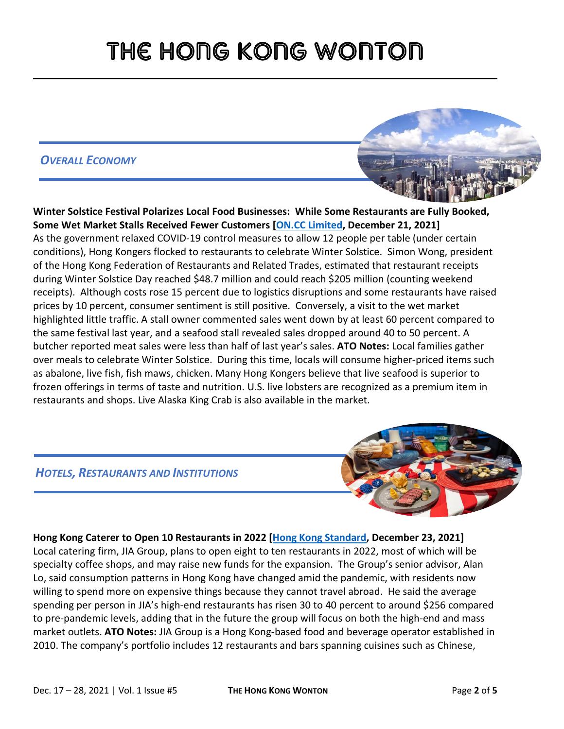# THE HONG KONG WONTON

### *OVERALL ECONOMY*



**Winter Solstice Festival Polarizes Local Food Businesses: While Some Restaurants are Fully Booked, Some Wet Market Stalls Received Fewer Customers [\[ON.CC Limited,](https://hk.on.cc/hk/bkn/cnt/news/20211221/bkn-20211221132054238-1221_00822_001.html) December 21, 2021]** As the government relaxed COVID-19 control measures to allow 12 people per table (under certain conditions), Hong Kongers flocked to restaurants to celebrate Winter Solstice. Simon Wong, president of the Hong Kong Federation of Restaurants and Related Trades, estimated that restaurant receipts during Winter Solstice Day reached \$48.7 million and could reach \$205 million (counting weekend receipts). Although costs rose 15 percent due to logistics disruptions and some restaurants have raised prices by 10 percent, consumer sentiment is still positive. Conversely, a visit to the wet market highlighted little traffic. A stall owner commented sales went down by at least 60 percent compared to the same festival last year, and a seafood stall revealed sales dropped around 40 to 50 percent. A butcher reported meat sales were less than half of last year's sales. **ATO Notes:** Local families gather over meals to celebrate Winter Solstice. During this time, locals will consume higher-priced items such as abalone, live fish, fish maws, chicken. Many Hong Kongers believe that live seafood is superior to frozen offerings in terms of taste and nutrition. U.S. live lobsters are recognized as a premium item in restaurants and shops. Live Alaska King Crab is also available in the market.

### *HOTELS, RESTAURANTS AND INSTITUTIONS*



### **Hong Kong Caterer to Open 10 Restaurants in 2022 [\[Hong Kong Standard,](https://www.thestandard.com.hk/breaking-news/section/2/185005/Local-caterer-to-open-10-restaurants-next-year) December 23, 2021]**

Local catering firm, JIA Group, plans to open eight to ten restaurants in 2022, most of which will be specialty coffee shops, and may raise new funds for the expansion. The Group's senior advisor, Alan Lo, said consumption patterns in Hong Kong have changed amid the pandemic, with residents now willing to spend more on expensive things because they cannot travel abroad. He said the average spending per person in JIA's high-end restaurants has risen 30 to 40 percent to around \$256 compared to pre-pandemic levels, adding that in the future the group will focus on both the high-end and mass market outlets. **ATO Notes:** JIA Group is a Hong Kong-based food and beverage operator established in 2010. The company's portfolio includes 12 restaurants and bars spanning cuisines such as Chinese,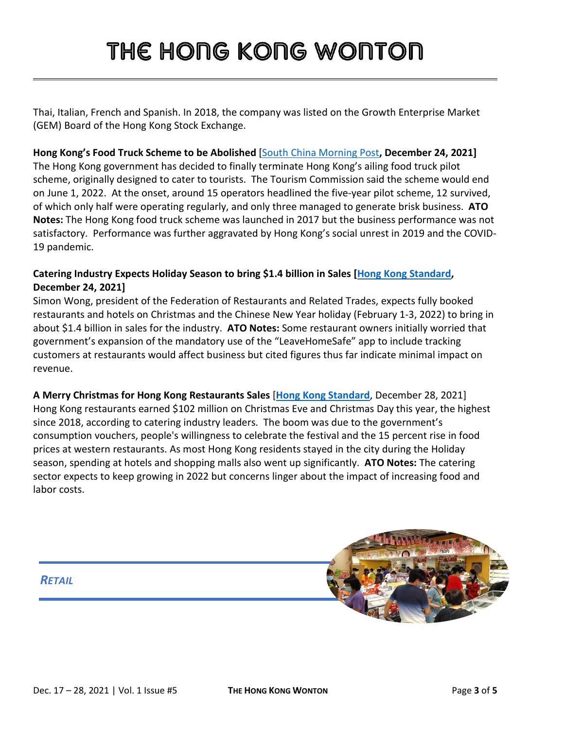# THE HONG KONG WONTON

Thai, Italian, French and Spanish. In 2018, the company was listed on the Growth Enterprise Market (GEM) Board of the Hong Kong Stock Exchange.

### **Hong Kong's Food Truck Scheme to be Abolished** [\[South China Morning Post](https://www.scmp.com/news/hong-kong/hong-kong-economy/article/3160889/hong-kong-food-truck-scheme-be-axed-social-unrest)**, December 24, 2021]**

The Hong Kong government has decided to finally terminate Hong Kong's ailing food truck pilot scheme, originally designed to cater to tourists. The Tourism Commission said the scheme would end on June 1, 2022. At the onset, around 15 operators headlined the five-year pilot scheme, 12 survived, of which only half were operating regularly, and only three managed to generate brisk business. **ATO Notes:** The Hong Kong food truck scheme was launched in 2017 but the business performance was not satisfactory. Performance was further aggravated by Hong Kong's social unrest in 2019 and the COVID-19 pandemic.

### **Catering Industry Expects Holiday Season to bring \$1.4 billion in Sales [\[Hong Kong Standard,](https://www.thestandard.com.hk/breaking-news/section/4/185023/Catering-industry-expects-holiday-season-to-bring-in-HK$11b) December 24, 2021]**

Simon Wong, president of the Federation of Restaurants and Related Trades, expects fully booked restaurants and hotels on Christmas and the Chinese New Year holiday (February 1-3, 2022) to bring in about \$1.4 billion in sales for the industry. **ATO Notes:** Some restaurant owners initially worried that government's expansion of the mandatory use of the "LeaveHomeSafe" app to include tracking customers at restaurants would affect business but cited figures thus far indicate minimal impact on revenue.

**A Merry Christmas for Hong Kong Restaurants Sales** [**[Hong Kong Standard](https://www.thestandard.com.hk/section-news/section/4/237412/)**, December 28, 2021] Hong Kong restaurants earned \$102 million on Christmas Eve and Christmas Day this year, the highest since 2018, according to catering industry leaders. The boom was due to the government's consumption vouchers, people's willingness to celebrate the festival and the 15 percent rise in food prices at western restaurants. As most Hong Kong residents stayed in the city during the Holiday season, spending at hotels and shopping malls also went up significantly. **ATO Notes:** The catering sector expects to keep growing in 2022 but concerns linger about the impact of increasing food and labor costs.

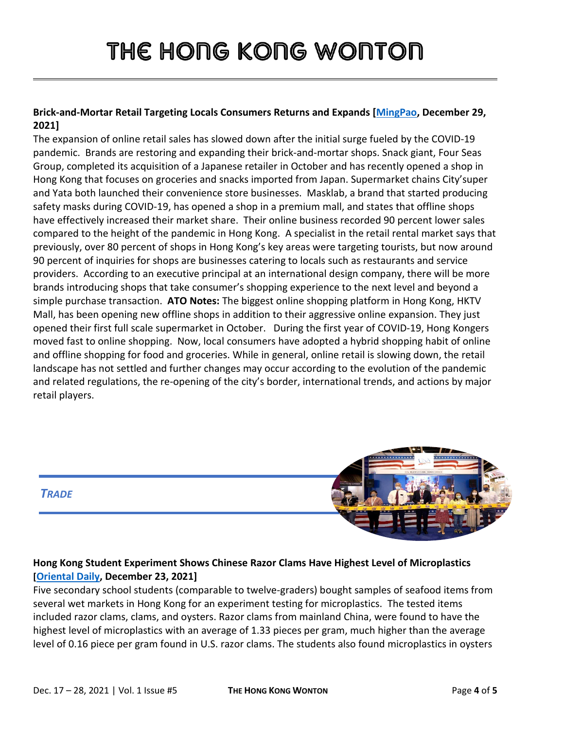### **Brick-and-Mortar Retail Targeting Locals Consumers Returns and Expands [\[MingPao,](https://news.mingpao.com/pns/%E7%B6%93%E6%BF%9F/article/20211229/s00004/1640712668955/%E6%B0%91%E7%94%9F%E8%88%96%E9%87%8D%E8%BF%94%E6%93%B4%E5%BC%B5-%E4%B8%80%E7%94%B0city-super%E6%8B%93%E4%BE%BF%E5%88%A9%E5%BA%97-%E5%8F%A3%E7%BD%A9%E5%BA%97masklab%E9%80%B2%E9%A7%90ifc-%E8%B2%A0%E8%B2%AC%E4%BA%BA-%E7%B6%B2%E8%B3%BC%E6%96%99%E6%9A%AB%E8%A6%8B%E9%A0%82) December 29, 2021]**

The expansion of online retail sales has slowed down after the initial surge fueled by the COVID-19 pandemic. Brands are restoring and expanding their brick-and-mortar shops. Snack giant, Four Seas Group, completed its acquisition of a Japanese retailer in October and has recently opened a shop in Hong Kong that focuses on groceries and snacks imported from Japan. Supermarket chains City'super and Yata both launched their convenience store businesses. Masklab, a brand that started producing safety masks during COVID-19, has opened a shop in a premium mall, and states that offline shops have effectively increased their market share. Their online business recorded 90 percent lower sales compared to the height of the pandemic in Hong Kong. A specialist in the retail rental market says that previously, over 80 percent of shops in Hong Kong's key areas were targeting tourists, but now around 90 percent of inquiries for shops are businesses catering to locals such as restaurants and service providers. According to an executive principal at an international design company, there will be more brands introducing shops that take consumer's shopping experience to the next level and beyond a simple purchase transaction. **ATO Notes:** The biggest online shopping platform in Hong Kong, HKTV Mall, has been opening new offline shops in addition to their aggressive online expansion. They just opened their first full scale supermarket in October. During the first year of COVID-19, Hong Kongers moved fast to online shopping. Now, local consumers have adopted a hybrid shopping habit of online and offline shopping for food and groceries. While in general, online retail is slowing down, the retail landscape has not settled and further changes may occur according to the evolution of the pandemic and related regulations, the re-opening of the city's border, international trends, and actions by major retail players.



### **Hong Kong Student Experiment Shows Chinese Razor Clams Have Highest Level of Microplastics [\[Oriental Daily,](https://orientaldaily.on.cc/content/%E8%A6%81%E8%81%9E%E6%B8%AF%E8%81%9E/odn-20211223-1223_00176_061/%E9%A3%9F%E4%B8%80%E9%9A%BB%E8%9F%B6%E5%AD%90--%E5%90%9E%E9%80%BE10%E7%B2%92%E5%BE%AE%E5%A1%91%E8%86%A0%E8%90%BD%E8%82%9A) December 23, 2021]**

Five secondary school students (comparable to twelve-graders) bought samples of seafood items from several wet markets in Hong Kong for an experiment testing for microplastics. The tested items included razor clams, clams, and oysters. Razor clams from mainland China, were found to have the highest level of microplastics with an average of 1.33 pieces per gram, much higher than the average level of 0.16 piece per gram found in U.S. razor clams. The students also found microplastics in oysters

*TRADE*